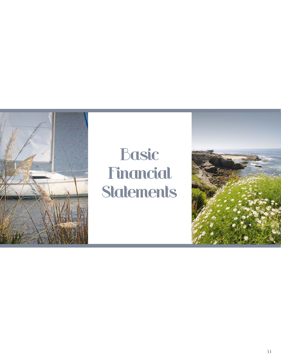

# Basic Financial **Statements**

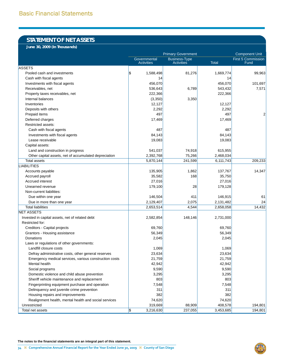## **STATEMENT OF NET ASSETS**

**June 30, 2009 (In Thousands)**

|                                                        | <b>Primary Government</b>         |                                           |              | <b>Component Unit</b>             |
|--------------------------------------------------------|-----------------------------------|-------------------------------------------|--------------|-----------------------------------|
|                                                        | Governmental<br><b>Activities</b> | <b>Business-Type</b><br><b>Activities</b> | <b>Total</b> | <b>First 5 Commission</b><br>Fund |
| <b>ASSETS</b>                                          |                                   |                                           |              |                                   |
| Pooled cash and investments                            | S.<br>1,588,498                   | 81,276                                    | 1,669,774    | 99,963                            |
| Cash with fiscal agents                                | 14                                |                                           | 14           |                                   |
| Investments with fiscal agents                         | 456,070                           |                                           | 456,070      | 101,697                           |
| Receivables, net                                       | 536,643                           | 6,789                                     | 543,432      | 7,571                             |
| Property taxes receivables, net                        | 222,366                           |                                           | 222,366      |                                   |
| Internal balances                                      | (3,350)                           | 3,350                                     |              |                                   |
| Inventories                                            | 12,127                            |                                           | 12,127       |                                   |
| Deposits with others                                   | 2,292                             |                                           | 2,292        |                                   |
| Prepaid items                                          | 497                               |                                           | 497          | 2                                 |
| Deferred charges                                       | 17,469                            |                                           | 17,469       |                                   |
| Restricted assets:                                     |                                   |                                           |              |                                   |
| Cash with fiscal agents                                | 487                               |                                           | 487          |                                   |
| Investments with fiscal agents                         | 84,143                            |                                           | 84,143       |                                   |
| Lease receivable                                       | 19,083                            |                                           | 19,083       |                                   |
| Capital assets:                                        |                                   |                                           |              |                                   |
| Land and construction in progress                      | 541,037                           | 74,918                                    | 615,955      |                                   |
| Other capital assets, net of accumulated depreciation  | 2,392,768                         | 75,266                                    | 2,468,034    |                                   |
| <b>Total assets</b>                                    | 5,870,144                         | 241,599                                   | 6,111,743    | 209,233                           |
| <b>LIABILITIES</b>                                     |                                   |                                           |              |                                   |
| Accounts payable                                       | 135,905                           | 1,862                                     | 137,767      | 14,347                            |
| Accrued payroll                                        | 35,582                            | 168                                       | 35,750       |                                   |
| <b>Accrued interest</b>                                | 27,016                            |                                           | 27,016       |                                   |
| Unearned revenue                                       | 179,100                           | 28                                        | 179,128      |                                   |
| Non-current liabilities:                               |                                   |                                           |              |                                   |
| Due within one year                                    | 146,504                           | 411                                       | 146,915      | 61                                |
| Due in more than one year                              | 2,129,407                         | 2,075                                     | 2,131,482    | 24                                |
| <b>Total liabilities</b>                               | 2,653,514                         | 4,544                                     | 2,658,058    | 14,432                            |
| <b>NET ASSETS</b>                                      |                                   |                                           |              |                                   |
| Invested in capital assets, net of related debt        | 2,582,854                         | 148,146                                   | 2,731,000    |                                   |
| Restricted for:                                        |                                   |                                           |              |                                   |
| Creditors - Capital projects                           | 69,760                            |                                           | 69,760       |                                   |
| Grantors - Housing assistance                          | 56,349                            |                                           | 56,349       |                                   |
| Donations                                              | 2,045                             |                                           | 2,045        |                                   |
| Laws or regulations of other governments:              |                                   |                                           |              |                                   |
| Landfill closure costs                                 | 1,069                             |                                           | 1,069        |                                   |
| Defray administrative costs, other general reserves    | 23,634                            |                                           | 23,634       |                                   |
| Emergency medical services, various construction costs | 21,759                            |                                           | 21,759       |                                   |
| Mental health                                          | 42,942                            |                                           | 42,942       |                                   |
| Social programs                                        | 9,590                             |                                           | 9,590        |                                   |
| Domestic violence and child abuse prevention           | 3,295                             |                                           | 3,295        |                                   |
| Sheriff vehicle maintenance and replacement            | 803                               |                                           | 803          |                                   |
| Fingerprinting equipment purchase and operation        | 7,548                             |                                           | 7,548        |                                   |
| Delinquency and juvenile crime prevention              | 311                               |                                           | 311          |                                   |
| Housing repairs and improvements                       | 382                               |                                           | 382          |                                   |
| Realignment health, mental health and social services  | 74,620                            |                                           | 74,620       |                                   |
| Unrestricted                                           | 319,669                           | 88,909                                    | 408,578      | 194,801                           |
| Total net assets                                       | $\frac{2}{3}$<br>3,216,630        | 237,055                                   | 3,453,685    | 194,801                           |

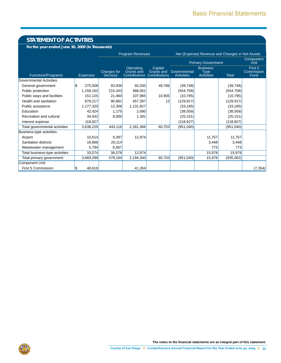# **STATEMENT OF ACTIVITIES**

**For the year ended June 30, 2009 (In Thousands)**

|                                |                 |                                | <b>Program Revenues</b>                                |                                                      |                                   |                                                      | Net (Expense) Revenue and Changes in Net Assets |                               |
|--------------------------------|-----------------|--------------------------------|--------------------------------------------------------|------------------------------------------------------|-----------------------------------|------------------------------------------------------|-------------------------------------------------|-------------------------------|
|                                |                 |                                |                                                        |                                                      |                                   | <b>Primary Government</b>                            |                                                 | Component<br>Unit             |
| Functions/Programs:            | <b>Expenses</b> | Charges for<br><b>Services</b> | Operating<br><b>Grants</b> and<br><b>Contributions</b> | Capital<br><b>Grants and</b><br><b>Contributions</b> | Governmental<br><b>Activities</b> | <b>Business-</b><br><b>Type</b><br><b>Activities</b> | <b>Total</b>                                    | First 5<br>Commission<br>Fund |
| Governmental Activities:       |                 |                                |                                                        |                                                      |                                   |                                                      |                                                 |                               |
| General government             | 275,508<br>l\$  | 93,939                         | 92,035                                                 | 49,786                                               | (39, 748)                         |                                                      | (39, 748)                                       |                               |
| Public protection              | 1,158,162       | 215,343                        | 388,061                                                |                                                      | (554, 758)                        |                                                      | (554, 758)                                      |                               |
| Public ways and facilities     | 151,125         | 21,460                         | 107,965                                                | 10,905                                               | (10, 795)                         |                                                      | (10, 795)                                       |                               |
| Health and sanitation          | 678,217         | 90,891                         | 457,397                                                | 12                                                   | (129, 917)                        |                                                      | (129, 917)                                      |                               |
| Public assistance              | 1,177,320       | 12,308                         | 1,131,827                                              |                                                      | (33, 185)                         |                                                      | (33, 185)                                       |                               |
| Education                      | 42,424          | 1,175                          | 2,690                                                  |                                                      | (38, 559)                         |                                                      | (38, 559)                                       |                               |
| Recreation and cultural        | 34,542          | 8,000                          | 1,391                                                  |                                                      | (25, 151)                         |                                                      | (25, 151)                                       |                               |
| Interest expense               | 118,927         |                                |                                                        |                                                      | (118, 927)                        |                                                      | (118, 927)                                      |                               |
| Total governmental activities  | 3,636,225       | 443,116                        | 2,181,366                                              | 60,703                                               | (951,040)                         |                                                      | (951,040)                                       |                               |
| Business-type activities:      |                 |                                |                                                        |                                                      |                                   |                                                      |                                                 |                               |
| Airport                        | 10,614          | 9,397                          | 12,974                                                 |                                                      |                                   | 11,757                                               | 11,757                                          |                               |
| Sanitation districts           | 16,666          | 20,114                         |                                                        |                                                      |                                   | 3,448                                                | 3,448                                           |                               |
| Wastewater management          | 5,794           | 6,567                          |                                                        |                                                      |                                   | 773                                                  | 773                                             |                               |
| Total business-type activities | 33,074          | 36,078                         | 12,974                                                 |                                                      |                                   | 15,978                                               | 15,978                                          |                               |
| Total primary government       | 3,669,299       | 479,194                        | 2,194,340                                              | 60,703                                               | (951,040)                         | 15,978                                               | (935,062)                                       |                               |
| Component Unit:                |                 |                                |                                                        |                                                      |                                   |                                                      |                                                 |                               |
| First 5 Commission             | 48,618<br>l\$   |                                | 41,264                                                 |                                                      |                                   |                                                      |                                                 | (7, 354)                      |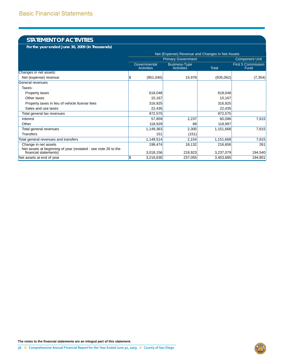## **STATEMENT OF ACTIVITIES**

**For the year ended June 30, 2009 (In Thousands)**

|                                                                                         | Net (Expense) Revenue and Changes in Net Assets |                                           |           |                                   |  |
|-----------------------------------------------------------------------------------------|-------------------------------------------------|-------------------------------------------|-----------|-----------------------------------|--|
|                                                                                         |                                                 | <b>Primary Government</b>                 |           | <b>Component Unit</b>             |  |
|                                                                                         | Governmental<br><b>Activities</b>               | <b>Business-Type</b><br><b>Activities</b> | Total     | <b>First 5 Commission</b><br>Fund |  |
| Changes in net assets:                                                                  |                                                 |                                           |           |                                   |  |
| Net (expense) revenue                                                                   | (951,040)                                       | 15,978                                    | (935,062) | (7, 354)                          |  |
| General revenues                                                                        |                                                 |                                           |           |                                   |  |
| Taxes:                                                                                  |                                                 |                                           |           |                                   |  |
| Property taxes                                                                          | 618,048                                         |                                           | 618,048   |                                   |  |
| Other taxes                                                                             | 15,167                                          |                                           | 15,167    |                                   |  |
| Property taxes in lieu of vehicle license fees                                          | 316,925                                         |                                           | 316,925   |                                   |  |
| Sales and use taxes                                                                     | 22,435                                          |                                           | 22,435    |                                   |  |
| Total general tax revenues                                                              | 972,575                                         |                                           | 972,575   |                                   |  |
| Interest                                                                                | 57,859                                          | 2,237                                     | 60,096    | 7,615                             |  |
| Other                                                                                   | 118,929                                         | 68                                        | 118,997   |                                   |  |
| Total general revenues                                                                  | 1,149,363                                       | 2,305                                     | 1,151,668 | 7,615                             |  |
| Transfers                                                                               | 151                                             | (151)                                     |           |                                   |  |
| Total general revenues and transfers                                                    | 1,149,514                                       | 2,154                                     | 1,151,668 | 7,615                             |  |
| Change in net assets                                                                    | 198,474                                         | 18,132                                    | 216,606   | 261                               |  |
| Net assets at beginning of year (restated - see note 26 to the<br>financial statements) | 3,018,156                                       | 218,923                                   | 3,237,079 | 194,540                           |  |
| Net assets at end of year                                                               | 3,216,630                                       | 237,055                                   | 3,453,685 | 194,801                           |  |

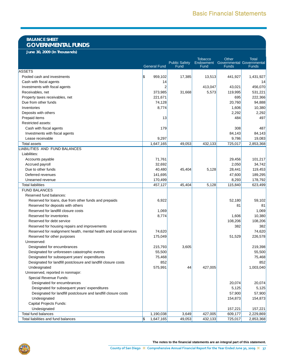## **BALANCE SHEET GOVERNMENTAL FUNDS**

**June 30, 2009 (In Thousands)**

|                                                                    |                     |                              | <b>Tobacco</b>    | Other                                            | <b>Total</b> |
|--------------------------------------------------------------------|---------------------|------------------------------|-------------------|--------------------------------------------------|--------------|
|                                                                    | <b>General Fund</b> | <b>Public Safety</b><br>Fund | Endowment<br>Fund | <b>Governmental Governmental</b><br><b>Funds</b> | <b>Funds</b> |
| <b>ASSETS</b>                                                      |                     |                              |                   |                                                  |              |
| Pooled cash and investments                                        | \$<br>959,102       | 17,385                       | 13,513            | 441,927                                          | 1,431,927    |
| Cash with fiscal agents                                            | 14                  |                              |                   |                                                  | 14           |
| Investments with fiscal agents                                     | $\overline{2}$      |                              | 413,047           | 43,021                                           | 456,070      |
| Receivables, net                                                   | 373,985             | 31,668                       | 5,573             | 119,995                                          | 531,221      |
| Property taxes receivables, net                                    | 221,671             |                              |                   | 695                                              | 222,366      |
| Due from other funds                                               | 74,128              |                              |                   | 20,760                                           | 94,888       |
| Inventories                                                        | 8,774               |                              |                   | 1,606                                            | 10,380       |
| Deposits with others                                               |                     |                              |                   | 2,292                                            | 2,292        |
| Prepaid items                                                      | 13                  |                              |                   | 484                                              | 497          |
| Restricted assets:                                                 |                     |                              |                   |                                                  |              |
| Cash with fiscal agents                                            | 179                 |                              |                   | 308                                              | 487          |
| Investments with fiscal agents                                     |                     |                              |                   | 84,143                                           | 84,143       |
| Lease receivable                                                   | 9,297               |                              |                   | 9,786                                            | 19,083       |
| Total assets                                                       | 1,647,165           | 49,053                       | 432,133           | 725,017                                          | 2,853,368    |
| LIABILITIES AND FUND BALANCES                                      |                     |                              |                   |                                                  |              |
| Liabilities:                                                       |                     |                              |                   |                                                  |              |
| Accounts payable                                                   | 71,761              |                              |                   | 29,456                                           | 101,217      |
| Accrued payroll                                                    | 32,692              |                              |                   | 2,050                                            | 34,742       |
| Due to other funds                                                 | 40,480              | 45,404                       | 5,128             | 28,441                                           | 119,453      |
| Deferred revenues                                                  | 141,695             |                              |                   | 47,600                                           | 189,295      |
| Unearned revenue                                                   | 170,499             |                              |                   | 8,293                                            | 178,792      |
| <b>Total liabilities</b>                                           | 457,127             | 45,404                       | 5,128             | 115,840                                          | 623,499      |
| <b>FUND BALANCES</b>                                               |                     |                              |                   |                                                  |              |
| Reserved fund balances:                                            |                     |                              |                   |                                                  |              |
| Reserved for loans, due from other funds and prepaids              | 6,922               |                              |                   | 52,180                                           | 59,102       |
| Reserved for deposits with others                                  |                     |                              |                   | 81                                               | 81           |
| Reserved for landfill closure costs                                | 1,069               |                              |                   |                                                  | 1,069        |
| Reserved for inventories                                           | 8,774               |                              |                   | 1,606                                            | 10,380       |
| Reserved for debt service                                          |                     |                              |                   | 108,206                                          | 108,206      |
| Reserved for housing repairs and improvements                      |                     |                              |                   | 382                                              | 382          |
| Reserved for realignment health, mental health and social services | 74,620              |                              |                   |                                                  | 74,620       |
| Reserved for other purposes                                        | 175,049             |                              |                   | 51,529                                           | 226,578      |
| Unreserved:                                                        |                     |                              |                   |                                                  |              |
| Designated for encumbrances                                        | 215,793             | 3,605                        |                   |                                                  | 219,398      |
| Designated for unforeseen catastrophic events                      | 55,500              |                              |                   |                                                  | 55,500       |
| Designated for subsequent years' expenditures                      | 75,468              |                              |                   |                                                  | 75,468       |
| Designated for landfill postclosure and landfill closure costs     | 852                 |                              |                   |                                                  | 852          |
| Undesignated                                                       | 575,991             | 44                           | 427,005           |                                                  | 1,003,040    |
| Unreserved, reported in nonmajor:                                  |                     |                              |                   |                                                  |              |
| Special Revenue Funds:                                             |                     |                              |                   |                                                  |              |
| Designated for encumbrances                                        |                     |                              |                   | 20,074                                           | 20,074       |
| Designated for subsequent years' expenditures                      |                     |                              |                   | 5,125                                            | 5,125        |
| Designated for landfill postclosure and landfill closure costs     |                     |                              |                   | 57,900                                           | 57,900       |
| Undesignated                                                       |                     |                              |                   | 154,873                                          | 154,873      |
| Capital Projects Funds:                                            |                     |                              |                   |                                                  |              |
| Undesignated                                                       |                     |                              |                   | 157,221                                          | 157,221      |
| Total fund balances                                                | 1,190,038           | 3,649                        | 427,005           | 609,177                                          | 2,229,869    |
| Total liabilities and fund balances                                | 5<br>1,647,165      | 49,053                       | 432,133           | 725,017                                          | 2,853,368    |

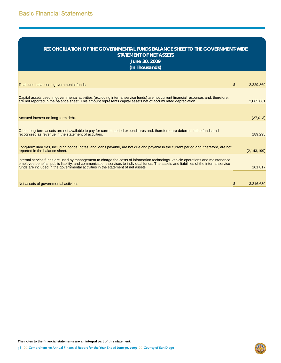| RECONCILIATION OF THE GOVERNMENTAL FUNDS BALANCE SHEET TO THE GOVERNMENT-WIDE<br><b>STATEMENT OF NET ASSETS</b><br>June 30, 2009<br>(In Thousands)                                                                                                                                                                                                                |                |               |
|-------------------------------------------------------------------------------------------------------------------------------------------------------------------------------------------------------------------------------------------------------------------------------------------------------------------------------------------------------------------|----------------|---------------|
| Total fund balances - governmental funds.                                                                                                                                                                                                                                                                                                                         | $\mathfrak{L}$ | 2,229,869     |
| Capital assets used in governmental activities (excluding internal service funds) are not current financial resources and, therefore,<br>are not reported in the balance sheet. This amount represents capital assets net of accumulated depreciation.                                                                                                            |                | 2,865,861     |
| Accrued interest on long-term debt.                                                                                                                                                                                                                                                                                                                               |                | (27, 013)     |
| Other long-term assets are not available to pay for current period expenditures and, therefore, are deferred in the funds and<br>recognized as revenue in the statement of activities.                                                                                                                                                                            |                | 189,295       |
| Long-term liabilities, including bonds, notes, and loans payable, are not due and payable in the current period and, therefore, are not<br>reported in the balance sheet.                                                                                                                                                                                         |                | (2, 143, 199) |
| Internal service funds are used by management to charge the costs of information technology, vehicle operations and maintenance,<br>employee benefits, public liability, and communications services to individual funds. The assets and liabilities of the internal service<br>funds are included in the governmental activities in the statement of net assets. |                | 101,817       |
| Net assets of governmental activities                                                                                                                                                                                                                                                                                                                             | \$.            | 3,216,630     |

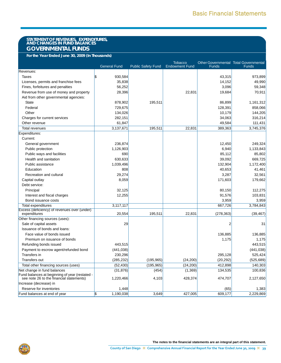# **STATEMENT OF REVENUES, EXPENDITURES, AND CHANGES IN FUND BALANCES GOVERNMENTAL FUNDS**

**For the Year Ended June 30, 2009 (In Thousands)**

|                                                                                            | <b>General Fund</b> | <b>Public Safety Fund</b> | <b>Tobacco</b><br><b>Endowment Fund</b> | Other Governmental Total Governmental<br><b>Funds</b> | <b>Funds</b> |
|--------------------------------------------------------------------------------------------|---------------------|---------------------------|-----------------------------------------|-------------------------------------------------------|--------------|
| Revenues:                                                                                  |                     |                           |                                         |                                                       |              |
| <b>Taxes</b>                                                                               | \$<br>930,584       |                           |                                         | 43,315                                                | 973,899      |
| Licenses, permits and franchise fees                                                       | 35,838              |                           |                                         | 14,152                                                | 49,990       |
| Fines, forfeitures and penalties                                                           | 56,252              |                           |                                         | 3,096                                                 | 59,348       |
|                                                                                            |                     |                           |                                         |                                                       |              |
| Revenue from use of money and property                                                     | 28,396              |                           | 22,831                                  | 19,684                                                | 70,911       |
| Aid from other governmental agencies:                                                      |                     |                           |                                         |                                                       |              |
| <b>State</b>                                                                               | 878,902             | 195,511                   |                                         | 86,899                                                | 1,161,312    |
| Federal                                                                                    | 729,675             |                           |                                         | 128,391                                               | 858,066      |
| Other                                                                                      | 134,026             |                           |                                         | 10,179                                                | 144,205      |
| Charges for current services                                                               | 282,151             |                           |                                         | 34,063                                                | 316,214      |
| Other revenue                                                                              | 61,847              |                           |                                         | 49,584                                                | 111,431      |
| <b>Total revenues</b>                                                                      | 3,137,671           | 195,511                   | 22,831                                  | 389,363                                               | 3,745,376    |
| Expenditures:                                                                              |                     |                           |                                         |                                                       |              |
| Current:                                                                                   |                     |                           |                                         |                                                       |              |
| General government                                                                         | 236,874             |                           |                                         | 12,450                                                | 249,324      |
| Public protection                                                                          | 1,126,903           |                           |                                         | 6,940                                                 | 1,133,843    |
| Public ways and facilities                                                                 | 690                 |                           |                                         | 85,112                                                | 85,802       |
| Health and sanitation                                                                      | 630,633             |                           |                                         | 39,092                                                | 669,725      |
| Public assistance                                                                          | 1,039,496           |                           |                                         | 132,904                                               | 1,172,400    |
| Education                                                                                  | 808                 |                           |                                         | 40,653                                                | 41,461       |
| Recreation and cultural                                                                    | 29,274              |                           |                                         | 3,287                                                 | 32,561       |
| Capital outlay                                                                             | 8,059               |                           |                                         | 171,603                                               | 179,662      |
| Debt service:                                                                              |                     |                           |                                         |                                                       |              |
| Principal                                                                                  | 32,125              |                           |                                         | 80,150                                                | 112,275      |
| Interest and fiscal charges                                                                | 12,255              |                           |                                         | 91,576                                                | 103,831      |
| Bond issuance costs                                                                        |                     |                           |                                         | 3,959                                                 | 3,959        |
| Total expenditures                                                                         | 3,117,117           |                           |                                         | 667,726                                               | 3,784,843    |
| Excess (deficiency) of revenues over (under)                                               |                     |                           |                                         |                                                       |              |
| expenditures                                                                               | 20,554              | 195,511                   | 22,831                                  | (278, 363)                                            | (39, 467)    |
| Other financing sources (uses):                                                            |                     |                           |                                         |                                                       |              |
| Sale of capital assets                                                                     | 29                  |                           |                                         | $\overline{2}$                                        | 31           |
| Issuance of bonds and loans:                                                               |                     |                           |                                         |                                                       |              |
| Face value of bonds issued                                                                 |                     |                           |                                         | 136,885                                               | 136,885      |
| Premium on issuance of bonds                                                               |                     |                           |                                         | 1,175                                                 | 1,175        |
| Refunding bonds issued                                                                     | 443,515             |                           |                                         |                                                       | 443,515      |
| Payment to escrow agent/refunded bond                                                      | (441, 038)          |                           |                                         |                                                       | (441, 038)   |
| Transfers in                                                                               | 230,296             |                           |                                         | 295,128                                               | 525,424      |
| <b>Transfers out</b>                                                                       | (285, 232)          | (195, 965)                | (24, 200)                               | (20, 292)                                             | (525, 689)   |
| Total other financing sources (uses)                                                       | (52, 430)           | (195, 965)                | (24, 200)                               | 412,898                                               | 140,303      |
| Net change in fund balances                                                                | (31, 876)           | (454)                     | (1, 369)                                | 134,535                                               | 100,836      |
| Fund balances at beginning of year (restated -<br>see note 26 to the financial statements) | 1,220,466           | 4,103                     | 428,374                                 | 474,707                                               | 2,127,650    |
| Increase (decrease) in                                                                     |                     |                           |                                         |                                                       |              |
| Reserve for inventories                                                                    | 1,448               |                           |                                         | (65)                                                  | 1,383        |
| Fund balances at end of year                                                               | S)<br>1,190,038     | 3,649                     | 427,005                                 | 609,177                                               | 2,229,869    |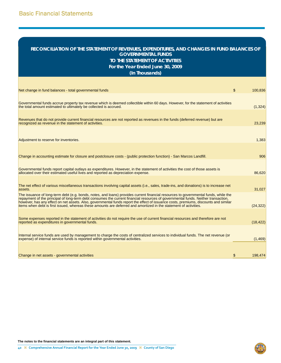## **RECONCILIATION OF THE STATEMENT OF REVENUES, EXPENDITURES, AND CHANGES IN FUND BALANCES OF GOVERNMENTAL FUNDS TO THE STATEMENT OF ACTIVITIES**

**For the Year Ended June 30, 2009**

**(In Thousands)**

| Net change in fund balances - total governmental funds                                                                                                                                                                                                                                                                                                                                                                                                                                                                                | \$<br>100,836 |
|---------------------------------------------------------------------------------------------------------------------------------------------------------------------------------------------------------------------------------------------------------------------------------------------------------------------------------------------------------------------------------------------------------------------------------------------------------------------------------------------------------------------------------------|---------------|
|                                                                                                                                                                                                                                                                                                                                                                                                                                                                                                                                       |               |
| Governmental funds accrue property tax revenue which is deemed collectible within 60 days. However, for the statement of activities<br>the total amount estimated to ultimately be collected is accrued.                                                                                                                                                                                                                                                                                                                              | (1, 324)      |
|                                                                                                                                                                                                                                                                                                                                                                                                                                                                                                                                       |               |
| Revenues that do not provide current financial resources are not reported as revenues in the funds (deferred revenue) but are<br>recognized as revenue in the statement of activities.                                                                                                                                                                                                                                                                                                                                                | 23,239        |
|                                                                                                                                                                                                                                                                                                                                                                                                                                                                                                                                       |               |
| Adjustment to reserve for inventories.                                                                                                                                                                                                                                                                                                                                                                                                                                                                                                | 1,383         |
|                                                                                                                                                                                                                                                                                                                                                                                                                                                                                                                                       |               |
| Change in accounting estimate for closure and postclosure costs - (public protection function) - San Marcos Landfill.                                                                                                                                                                                                                                                                                                                                                                                                                 | 906           |
| Governmental funds report capital outlays as expenditures. However, in the statement of activities the cost of those assets is<br>allocated over their estimated useful lives and reported as depreciation expense.                                                                                                                                                                                                                                                                                                                   | 86,620        |
|                                                                                                                                                                                                                                                                                                                                                                                                                                                                                                                                       |               |
| The net effect of various miscellaneous transactions involving capital assets (i.e., sales, trade-ins, and donations) is to increase net<br>assets.                                                                                                                                                                                                                                                                                                                                                                                   | 31,027        |
| The issuance of long-term debt (e.g. bonds, notes, and loans) provides current financial resources to governmental funds, while the<br>repayment of the principal of long-term debt consumes the current financial resources of governmental funds. Neither transaction,<br>however, has any effect on net assets. Also, governmental funds report the effect of issuance costs, premiums, discounts and similar<br>items when debt is first issued, whereas these amounts are deferred and amortized in the statement of activities. | (24, 322)     |
|                                                                                                                                                                                                                                                                                                                                                                                                                                                                                                                                       |               |
| Some expenses reported in the statement of activities do not require the use of current financial resources and therefore are not<br>reported as expenditures in governmental funds.                                                                                                                                                                                                                                                                                                                                                  | (18, 422)     |
|                                                                                                                                                                                                                                                                                                                                                                                                                                                                                                                                       |               |
| Internal service funds are used by management to charge the costs of centralized services to individual funds. The net revenue (or<br>expense) of internal service funds is reported within governmental activities.                                                                                                                                                                                                                                                                                                                  | (1, 469)      |
|                                                                                                                                                                                                                                                                                                                                                                                                                                                                                                                                       |               |
| Change in net assets - governmental activities                                                                                                                                                                                                                                                                                                                                                                                                                                                                                        | \$<br>198,474 |



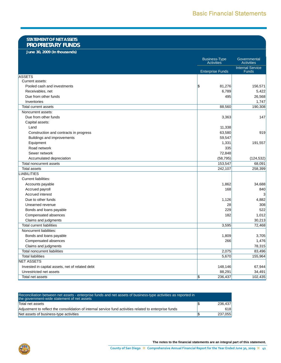### **STATEMENT OF NET ASSETS PROPRIETARY FUNDS**

**June 30, 2009 (In thousands)**

|                                                 | <b>Business-Type</b><br><b>Activities</b> | Governmental<br><b>Activities</b> |
|-------------------------------------------------|-------------------------------------------|-----------------------------------|
|                                                 | <b>Enterprise Funds</b>                   | <b>Internal Service</b><br>Funds  |
| <b>ASSETS</b>                                   |                                           |                                   |
| Current assets:                                 |                                           |                                   |
| Pooled cash and investments                     | 1\$<br>81,276                             | 156,571                           |
| Receivables, net                                | 6,789                                     | 5,422                             |
| Due from other funds                            | 495                                       | 26,568                            |
| Inventories                                     |                                           | 1,747                             |
| <b>Total current assets</b>                     | 88,560                                    | 190,308                           |
| Noncurrent assets:                              |                                           |                                   |
| Due from other funds                            | 3,363                                     | 147                               |
| Capital assets:                                 |                                           |                                   |
| Land                                            | 11,338                                    |                                   |
| Construction and contracts in progress          | 63,580                                    | 919                               |
| Buildings and improvements                      | 59,547                                    |                                   |
| Equipment                                       | 1,331                                     | 191,557                           |
| Road network                                    | 335                                       |                                   |
| Sewer network                                   | 72,848                                    |                                   |
| Accumulated depreciation                        | (58, 795)                                 | (124, 532)                        |
| Total noncurrent assets                         | 153,547                                   | 68,091                            |
| <b>Total assets</b>                             | 242,107                                   | 258,399                           |
| LIABILITIES                                     |                                           |                                   |
| Current liabilities:                            |                                           |                                   |
| Accounts payable                                | 1,862                                     | 34,688                            |
| Accrued payroll                                 | 168                                       | 840                               |
| Accrued interest                                |                                           | 3                                 |
| Due to other funds                              | 1,126                                     | 4,882                             |
| Unearned revenue                                | 28                                        | 308                               |
| Bonds and loans payable                         | 229                                       | 522                               |
| Compensated absences                            | 182                                       | 1,012                             |
| Claims and judgments                            |                                           | 30,213                            |
| <b>Total current liabilities</b>                | 3,595                                     | 72,468                            |
| Noncurrent liabilities:                         |                                           |                                   |
| Bonds and loans payable                         | 1,809                                     | 3,705                             |
| Compensated absences                            | 266                                       | 1,476                             |
| Claims and judgments                            |                                           | 78,315                            |
| <b>Total noncurrent liabilities</b>             | 2,075                                     | 83,496                            |
| <b>Total liabilities</b>                        | 5,670                                     | 155,964                           |
| <b>NET ASSETS</b>                               |                                           |                                   |
| Invested in capital assets, net of related debt | 148,146                                   | 67,944                            |
| Unrestricted net assets                         | 88,291                                    | 34,491                            |
| Total net assets                                | \$<br>236,437                             | 102,435                           |

| Reconciliation between net assets - enterprise funds and net assets of business-type activities as reported in<br>the government-wide statement of net assets |         |
|---------------------------------------------------------------------------------------------------------------------------------------------------------------|---------|
| Total net assets                                                                                                                                              | 236.437 |
| Adjustment to reflect the consolidation of internal service fund activities related to enterprise funds                                                       | 618     |
| Net assets of business-type activities                                                                                                                        | 237.055 |

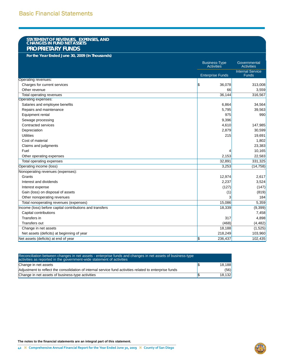# **STATEMENT OF REVENUES, EXPENSES, AND CHANGES IN FUND NET ASSETS PROPRIETARY FUNDS**

**For the Year Ended June 30, 2009 (In Thousands)**

|                                                          | <b>Business-Type</b><br><b>Activities</b> | Governmental<br><b>Activities</b>       |
|----------------------------------------------------------|-------------------------------------------|-----------------------------------------|
|                                                          | <b>Enterprise Funds</b>                   | <b>Internal Service</b><br><b>Funds</b> |
| Operating revenues:                                      |                                           |                                         |
| Charges for current services                             | l\$<br>36,078                             | 313,008                                 |
| Other revenue                                            | 66                                        | 3,559                                   |
| Total operating revenues                                 | 36,144                                    | 316,567                                 |
| Operating expenses:                                      |                                           |                                         |
| Salaries and employee benefits                           | 6,864                                     | 34,564                                  |
| Repairs and maintenance                                  | 5,795                                     | 39,563                                  |
| Equipment rental                                         | 975                                       | 990                                     |
| Sewage processing                                        | 9,396                                     |                                         |
| <b>Contracted services</b>                               | 4,610                                     | 147,985                                 |
| Depreciation                                             | 2,879                                     | 30,599                                  |
| <b>Utilities</b>                                         | 215                                       | 19,691                                  |
| Cost of material                                         |                                           | 1,802                                   |
| Claims and judgments                                     |                                           | 23,383                                  |
| Fuel                                                     |                                           | 10,165                                  |
| Other operating expenses                                 | 2,153                                     | 22,583                                  |
| Total operating expenses                                 | 32,891                                    | 331,325                                 |
| Operating income (loss)                                  | 3,253                                     | (14, 758)                               |
| Nonoperating revenues (expenses):                        |                                           |                                         |
| Grants                                                   | 12,974                                    | 2,617                                   |
| Interest and dividends                                   | 2,237                                     | 3,524                                   |
| Interest expense                                         | (127)                                     | (147)                                   |
| Gain (loss) on disposal of assets                        | (1)                                       | (819)                                   |
| Other nonoperating revenues                              |                                           | 184                                     |
| Total nonoperating revenues (expenses)                   | 15,086                                    | 5,359                                   |
| Income (loss) before capital contributions and transfers | 18,339                                    | (9,399)                                 |
| Capital contributions                                    |                                           | 7,458                                   |
| Transfers in                                             | 317                                       | 4,898                                   |
| Transfers out                                            | (468)                                     | (4, 482)                                |
| Change in net assets                                     | 18,188                                    | (1,525)                                 |
| Net assets (deficits) at beginning of year               | 218,249                                   | 103,960                                 |
| Net assets (deficits) at end of year                     | l\$<br>236,437                            | 102,435                                 |

| Reconciliation between changes in net assets - enterprise funds and changes in net assets of business-type<br>activities as reported in the government-wide statement of activities |        |
|-------------------------------------------------------------------------------------------------------------------------------------------------------------------------------------|--------|
| Change in net assets                                                                                                                                                                | 18.188 |
| Adjustment to reflect the consolidation of internal service fund activities related to enterprise funds                                                                             | (56)   |
| Change in net assets of business-type activities                                                                                                                                    | 18.132 |

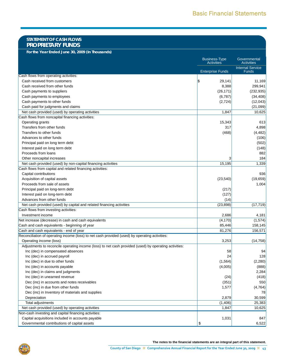### **STATEMENT OF CASH FLOWS PROPRIETARY FUNDS**

**For the Year Ended June 30, 2009 (In Thousands)**

|                                                                                                       | <b>Business-Type</b><br><b>Activities</b> | Governmental<br><b>Activities</b>       |
|-------------------------------------------------------------------------------------------------------|-------------------------------------------|-----------------------------------------|
|                                                                                                       | <b>Enterprise Funds</b>                   | <b>Internal Service</b><br><b>Funds</b> |
| Cash flows from operating activities:                                                                 |                                           |                                         |
| Cash received from customers                                                                          | S.<br>29,141                              | 11,169                                  |
| Cash received from other funds                                                                        | 8,388                                     | 299,941                                 |
| Cash payments to suppliers                                                                            | (26, 171)                                 | (232, 935)                              |
| Cash payments to employees                                                                            | (6,787)                                   | (34, 408)                               |
| Cash payments to other funds                                                                          | (2,724)                                   | (12,043)                                |
| Cash paid for judgments and claims                                                                    |                                           | (21,099)                                |
| Net cash provided (used) by operating activities                                                      | 1,847                                     | 10,625                                  |
| Cash flows from noncapital financing activities:                                                      |                                           |                                         |
| Operating grants                                                                                      | 15,343                                    | 613                                     |
| Transfers from other funds                                                                            | 317                                       | 4,898                                   |
| Transfers to other funds                                                                              | (468)                                     | (4, 482)                                |
| Advances to other funds                                                                               |                                           | (106)                                   |
| Principal paid on long term debt                                                                      |                                           | (502)                                   |
| Interest paid on long term debt                                                                       |                                           | (148)                                   |
| Proceeds from loans                                                                                   |                                           | 882                                     |
| Other noncapital increases                                                                            | 3                                         | 184                                     |
| Net cash provided (used) by non-capital financing activities                                          | 15,195                                    | 1,339                                   |
| Cash flows from capital and related financing activities:                                             |                                           |                                         |
| Capital contributions                                                                                 |                                           | 936                                     |
| Acquisition of capital assets                                                                         | (23, 540)                                 | (19,659)                                |
| Proceeds from sale of assets                                                                          |                                           | 1,004                                   |
| Principal paid on long-term debt                                                                      | (217)                                     |                                         |
| Interest paid on long-term debt                                                                       | (127)                                     |                                         |
| Advances from other funds                                                                             | (14)                                      |                                         |
| Net cash provided (used) by capital and related financing activities                                  | (23, 898)                                 | (17, 719)                               |
| Cash flows from investing activities:                                                                 |                                           |                                         |
| Investment income                                                                                     | 2,686                                     | 4,181                                   |
| Net increase (decrease) in cash and cash equivalents                                                  | (4, 170)                                  | (1,574)                                 |
| Cash and cash equivalents - beginning of year                                                         | 85,446                                    | 158,145                                 |
| Cash and cash equivalents - end of year                                                               | 81,276                                    | 156,571                                 |
| Reconciliation of operating income (loss) to net cash provided (used) by operating activities:        |                                           |                                         |
| Operating income (loss)                                                                               | 3,253                                     | (14, 758)                               |
| Adjustments to reconcile operating income (loss) to net cash provided (used) by operating activities: |                                           |                                         |
| Inc (dec) in compensated absences                                                                     | 58                                        | 94                                      |
| Inc (dec) in accrued payroll                                                                          | 24                                        | 128                                     |
| Inc (dec) in due to other funds                                                                       | (1, 564)                                  | (2, 280)                                |
| Inc (dec) in accounts payable                                                                         | (4,005)                                   | (888)                                   |
| Inc (dec) in claims and judgments                                                                     |                                           | 2,284                                   |
| Inc (dec) in unearned revenue                                                                         | (24)                                      | (418)                                   |
| Dec (inc) in accounts and notes receivables                                                           | (351)                                     | 550                                     |
| Dec (inc) in due from other funds                                                                     | 1,577                                     | (4, 764)                                |
| Dec (inc) in Inventory of materials and supplies                                                      |                                           | 78                                      |
| Depreciation                                                                                          | 2,879                                     | 30,599                                  |
| Total adjustments                                                                                     | (1,406)                                   | 25,383                                  |
| Net cash provided (used) by operating activities                                                      | 1,847                                     | 10,625                                  |
| Non-cash investing and capital financing activities:                                                  |                                           |                                         |
| Capital acquisitions included in accounts payable                                                     | 1,031                                     | 847                                     |
| Governmental contributions of capital assets                                                          | \$                                        | 6,522                                   |

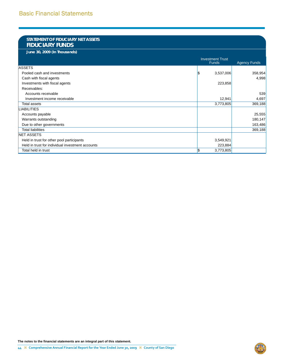### **STATEMENT OF FIDUCIARY NET ASSETS FIDUCIARY FUNDS**

**June 30, 2009 (In Thousands)**

|                                                  | <b>Investment Trust</b><br><b>Funds</b> | <b>Agency Funds</b> |
|--------------------------------------------------|-----------------------------------------|---------------------|
| <b>ASSETS</b>                                    |                                         |                     |
| Pooled cash and investments                      | 3,537,006<br>1\$                        | 358,954             |
| Cash with fiscal agents                          |                                         | 4,998               |
| Investments with fiscal agents                   | 223,858                                 |                     |
| Receivables:                                     |                                         |                     |
| Accounts receivable                              |                                         | 539                 |
| Investment income receivable                     | 12,941                                  | 4,697               |
| Total assets                                     | 3,773,805                               | 369,188             |
| <b>LIABILITIES</b>                               |                                         |                     |
| Accounts payable                                 |                                         | 25,555              |
| Warrants outstanding                             |                                         | 180,147             |
| Due to other governments                         |                                         | 163,486             |
| Total liabilities                                |                                         | 369,188             |
| <b>NET ASSETS</b>                                |                                         |                     |
| Held in trust for other pool participants        | 3,549,921                               |                     |
| Held in trust for individual investment accounts | 223,884                                 |                     |
| Total held in trust                              | 1\$<br>3,773,805                        |                     |